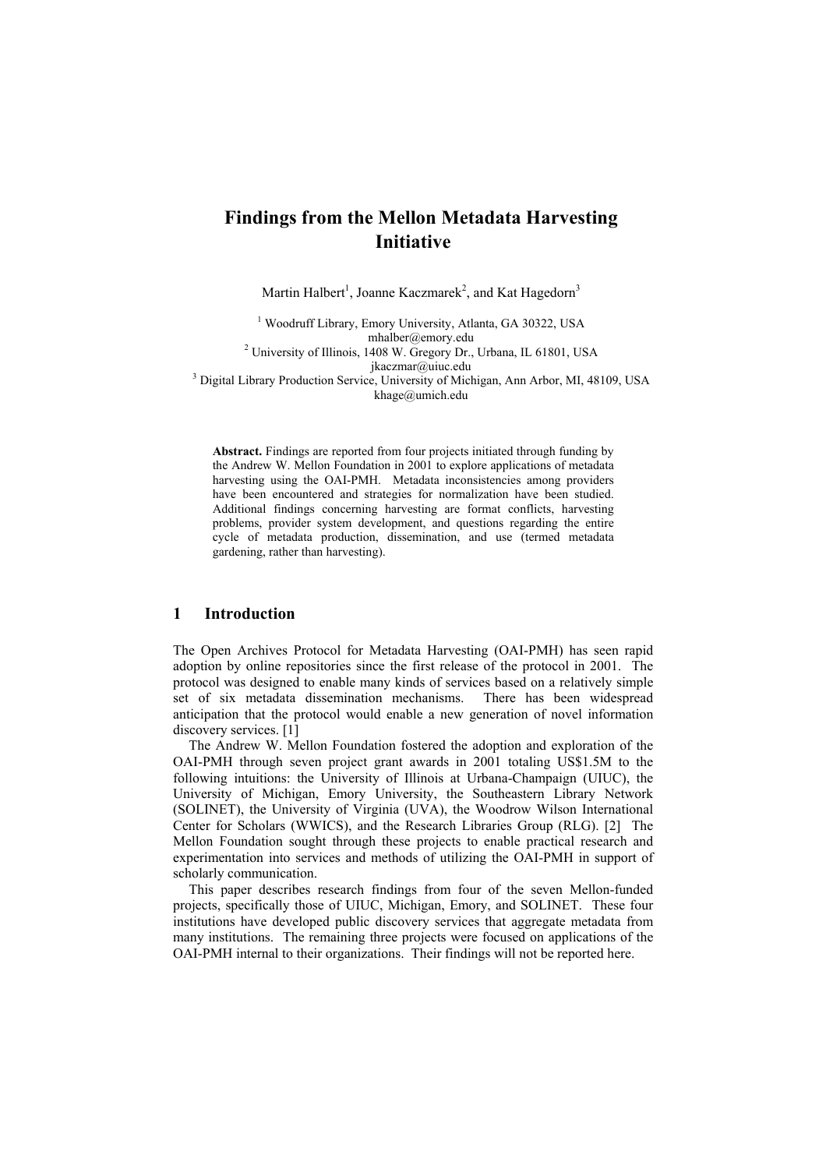# **Findings from the Mellon Metadata Harvesting Initiative**

Martin Halbert<sup>1</sup>, Joanne Kaczmarek<sup>2</sup>, and Kat Hagedorn<sup>3</sup>

<sup>1</sup> Woodruff Library, Emory University, Atlanta, GA 30322, USA mhalber@emory.edu<br><sup>2</sup> University of Illinois, 1408 W. Gregory Dr., Urbana, IL 61801, USA

jkaczmar@uiuc.edu<br><sup>3</sup> Digital Library Production Service, University of Michigan, Ann Arbor, MI, 48109, USA khage@umich.edu

**Abstract.** Findings are reported from four projects initiated through funding by the Andrew W. Mellon Foundation in 2001 to explore applications of metadata harvesting using the OAI-PMH. Metadata inconsistencies among providers have been encountered and strategies for normalization have been studied. Additional findings concerning harvesting are format conflicts, harvesting problems, provider system development, and questions regarding the entire cycle of metadata production, dissemination, and use (termed metadata gardening, rather than harvesting).

# **1 Introduction**

The Open Archives Protocol for Metadata Harvesting (OAI-PMH) has seen rapid adoption by online repositories since the first release of the protocol in 2001. The protocol was designed to enable many kinds of services based on a relatively simple set of six metadata dissemination mechanisms. There has been widespread anticipation that the protocol would enable a new generation of novel information discovery services. [1]

The Andrew W. Mellon Foundation fostered the adoption and exploration of the OAI-PMH through seven project grant awards in 2001 totaling US\$1.5M to the following intuitions: the University of Illinois at Urbana-Champaign (UIUC), the University of Michigan, Emory University, the Southeastern Library Network (SOLINET), the University of Virginia (UVA), the Woodrow Wilson International Center for Scholars (WWICS), and the Research Libraries Group (RLG). [2] The Mellon Foundation sought through these projects to enable practical research and experimentation into services and methods of utilizing the OAI-PMH in support of scholarly communication.

This paper describes research findings from four of the seven Mellon-funded projects, specifically those of UIUC, Michigan, Emory, and SOLINET. These four institutions have developed public discovery services that aggregate metadata from many institutions. The remaining three projects were focused on applications of the OAI-PMH internal to their organizations. Their findings will not be reported here.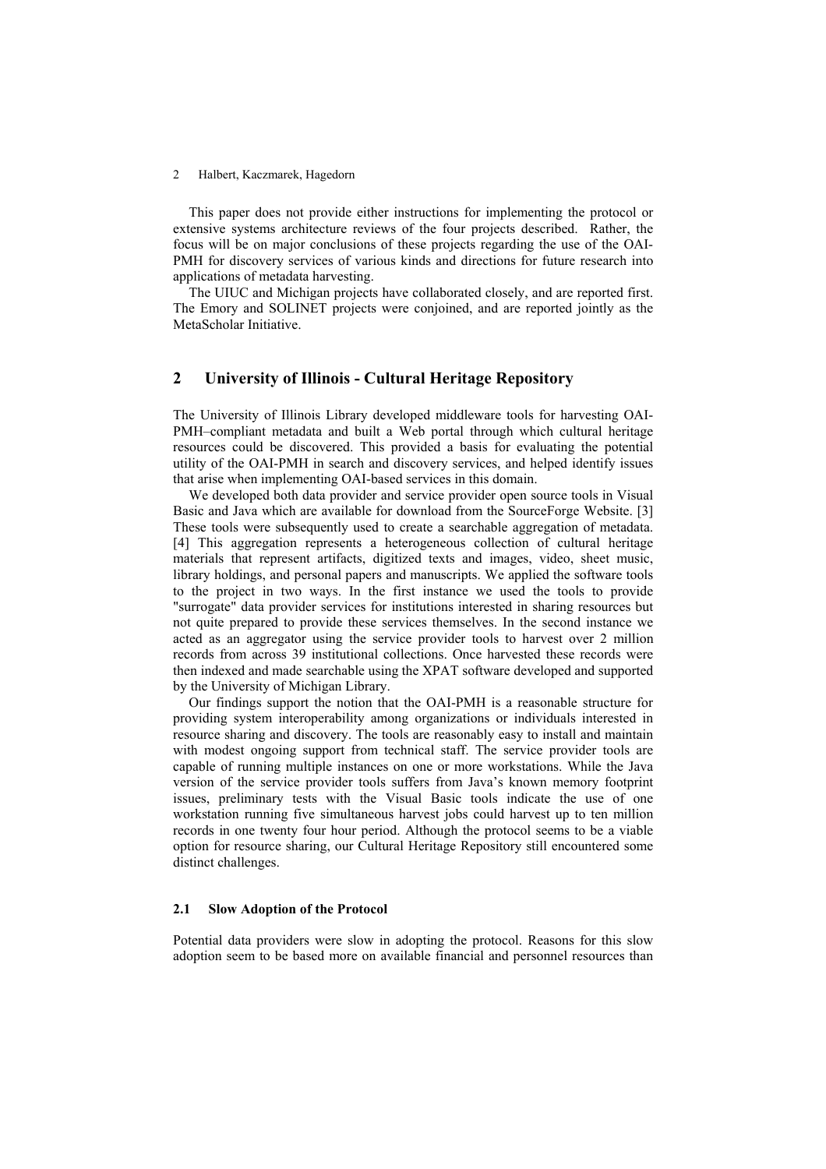This paper does not provide either instructions for implementing the protocol or extensive systems architecture reviews of the four projects described. Rather, the focus will be on major conclusions of these projects regarding the use of the OAI-PMH for discovery services of various kinds and directions for future research into applications of metadata harvesting.

The UIUC and Michigan projects have collaborated closely, and are reported first. The Emory and SOLINET projects were conjoined, and are reported jointly as the MetaScholar Initiative.

# **2 University of Illinois - Cultural Heritage Repository**

The University of Illinois Library developed middleware tools for harvesting OAI-PMH–compliant metadata and built a Web portal through which cultural heritage resources could be discovered. This provided a basis for evaluating the potential utility of the OAI-PMH in search and discovery services, and helped identify issues that arise when implementing OAI-based services in this domain.

We developed both data provider and service provider open source tools in Visual Basic and Java which are available for download from the SourceForge Website. [3] These tools were subsequently used to create a searchable aggregation of metadata. [4] This aggregation represents a heterogeneous collection of cultural heritage materials that represent artifacts, digitized texts and images, video, sheet music, library holdings, and personal papers and manuscripts. We applied the software tools to the project in two ways. In the first instance we used the tools to provide "surrogate" data provider services for institutions interested in sharing resources but not quite prepared to provide these services themselves. In the second instance we acted as an aggregator using the service provider tools to harvest over 2 million records from across 39 institutional collections. Once harvested these records were then indexed and made searchable using the XPAT software developed and supported by the University of Michigan Library.

Our findings support the notion that the OAI-PMH is a reasonable structure for providing system interoperability among organizations or individuals interested in resource sharing and discovery. The tools are reasonably easy to install and maintain with modest ongoing support from technical staff. The service provider tools are capable of running multiple instances on one or more workstations. While the Java version of the service provider tools suffers from Java's known memory footprint issues, preliminary tests with the Visual Basic tools indicate the use of one workstation running five simultaneous harvest jobs could harvest up to ten million records in one twenty four hour period. Although the protocol seems to be a viable option for resource sharing, our Cultural Heritage Repository still encountered some distinct challenges.

# **2.1 Slow Adoption of the Protocol**

Potential data providers were slow in adopting the protocol. Reasons for this slow adoption seem to be based more on available financial and personnel resources than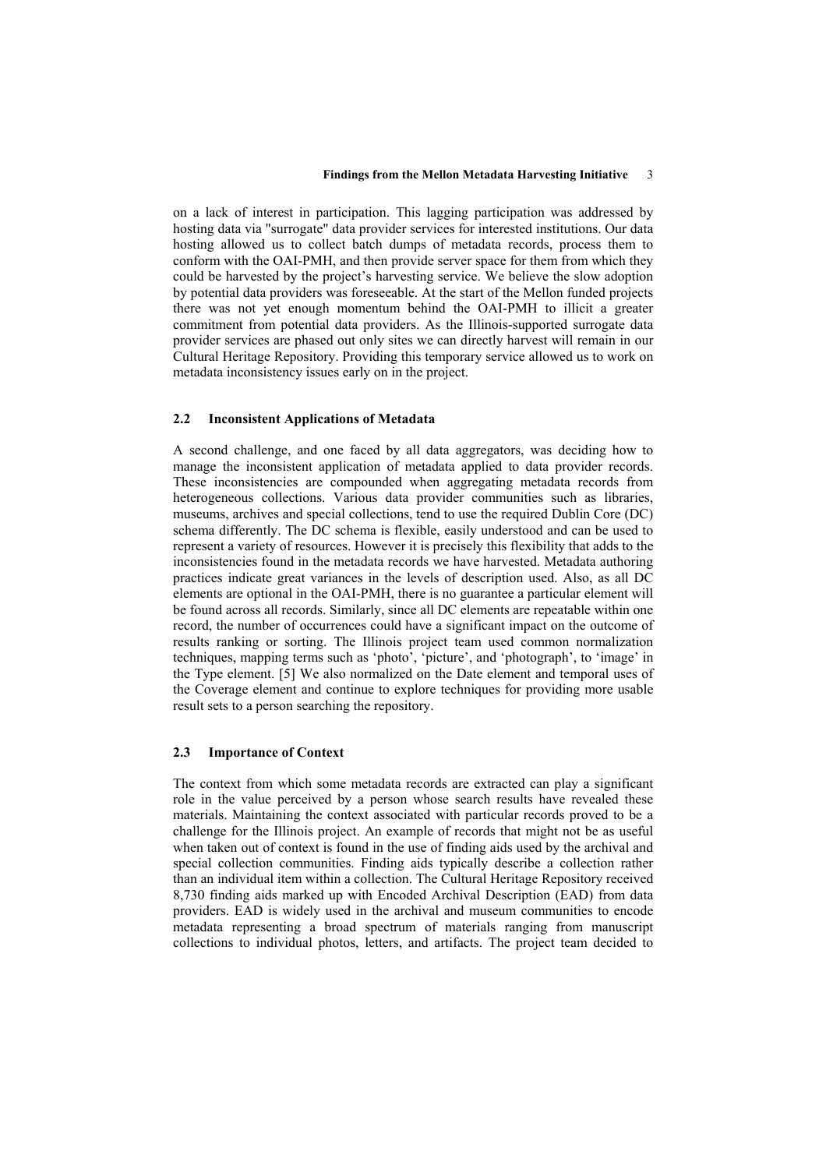#### **Findings from the Mellon Metadata Harvesting Initiative** 3

on a lack of interest in participation. This lagging participation was addressed by hosting data via "surrogate" data provider services for interested institutions. Our data hosting allowed us to collect batch dumps of metadata records, process them to conform with the OAI-PMH, and then provide server space for them from which they could be harvested by the project's harvesting service. We believe the slow adoption by potential data providers was foreseeable. At the start of the Mellon funded projects there was not yet enough momentum behind the OAI-PMH to illicit a greater commitment from potential data providers. As the Illinois-supported surrogate data provider services are phased out only sites we can directly harvest will remain in our Cultural Heritage Repository. Providing this temporary service allowed us to work on metadata inconsistency issues early on in the project.

### **2.2 Inconsistent Applications of Metadata**

A second challenge, and one faced by all data aggregators, was deciding how to manage the inconsistent application of metadata applied to data provider records. These inconsistencies are compounded when aggregating metadata records from heterogeneous collections. Various data provider communities such as libraries, museums, archives and special collections, tend to use the required Dublin Core (DC) schema differently. The DC schema is flexible, easily understood and can be used to represent a variety of resources. However it is precisely this flexibility that adds to the inconsistencies found in the metadata records we have harvested. Metadata authoring practices indicate great variances in the levels of description used. Also, as all DC elements are optional in the OAI-PMH, there is no guarantee a particular element will be found across all records. Similarly, since all DC elements are repeatable within one record, the number of occurrences could have a significant impact on the outcome of results ranking or sorting. The Illinois project team used common normalization techniques, mapping terms such as 'photo', 'picture', and 'photograph', to 'image' in the Type element. [5] We also normalized on the Date element and temporal uses of the Coverage element and continue to explore techniques for providing more usable result sets to a person searching the repository.

### **2.3 Importance of Context**

The context from which some metadata records are extracted can play a significant role in the value perceived by a person whose search results have revealed these materials. Maintaining the context associated with particular records proved to be a challenge for the Illinois project. An example of records that might not be as useful when taken out of context is found in the use of finding aids used by the archival and special collection communities. Finding aids typically describe a collection rather than an individual item within a collection. The Cultural Heritage Repository received 8,730 finding aids marked up with Encoded Archival Description (EAD) from data providers. EAD is widely used in the archival and museum communities to encode metadata representing a broad spectrum of materials ranging from manuscript collections to individual photos, letters, and artifacts. The project team decided to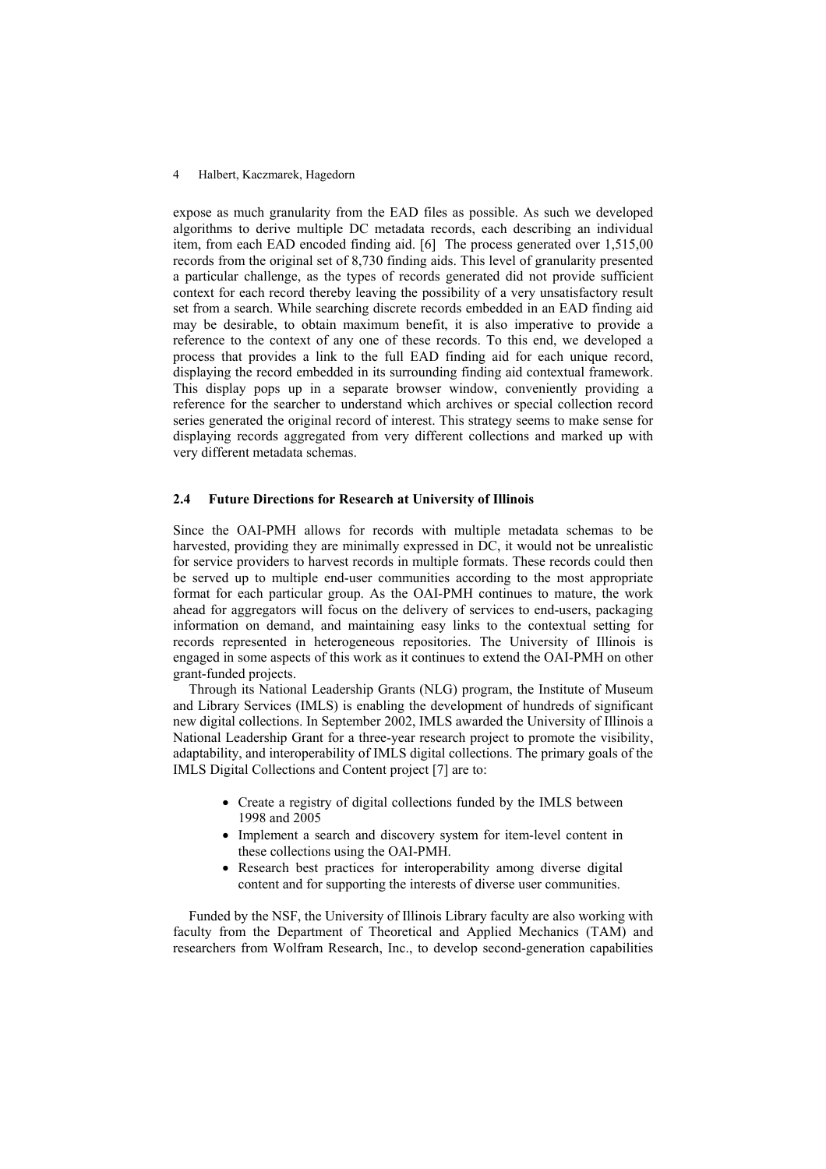expose as much granularity from the EAD files as possible. As such we developed algorithms to derive multiple DC metadata records, each describing an individual item, from each EAD encoded finding aid. [6] The process generated over 1,515,00 records from the original set of 8,730 finding aids. This level of granularity presented a particular challenge, as the types of records generated did not provide sufficient context for each record thereby leaving the possibility of a very unsatisfactory result set from a search. While searching discrete records embedded in an EAD finding aid may be desirable, to obtain maximum benefit, it is also imperative to provide a reference to the context of any one of these records. To this end, we developed a process that provides a link to the full EAD finding aid for each unique record, displaying the record embedded in its surrounding finding aid contextual framework. This display pops up in a separate browser window, conveniently providing a reference for the searcher to understand which archives or special collection record series generated the original record of interest. This strategy seems to make sense for displaying records aggregated from very different collections and marked up with very different metadata schemas.

# **2.4 Future Directions for Research at University of Illinois**

Since the OAI-PMH allows for records with multiple metadata schemas to be harvested, providing they are minimally expressed in DC, it would not be unrealistic for service providers to harvest records in multiple formats. These records could then be served up to multiple end-user communities according to the most appropriate format for each particular group. As the OAI-PMH continues to mature, the work ahead for aggregators will focus on the delivery of services to end-users, packaging information on demand, and maintaining easy links to the contextual setting for records represented in heterogeneous repositories. The University of Illinois is engaged in some aspects of this work as it continues to extend the OAI-PMH on other grant-funded projects.

Through its National Leadership Grants (NLG) program, the Institute of Museum and Library Services (IMLS) is enabling the development of hundreds of significant new digital collections. In September 2002, IMLS awarded the University of Illinois a National Leadership Grant for a three-year research project to promote the visibility, adaptability, and interoperability of IMLS digital collections. The primary goals of the IMLS Digital Collections and Content project [7] are to:

- Create a registry of digital collections funded by the IMLS between 1998 and 2005
- Implement a search and discovery system for item-level content in these collections using the OAI-PMH.
- Research best practices for interoperability among diverse digital content and for supporting the interests of diverse user communities.

Funded by the NSF, the University of Illinois Library faculty are also working with faculty from the Department of Theoretical and Applied Mechanics (TAM) and researchers from Wolfram Research, Inc., to develop second-generation capabilities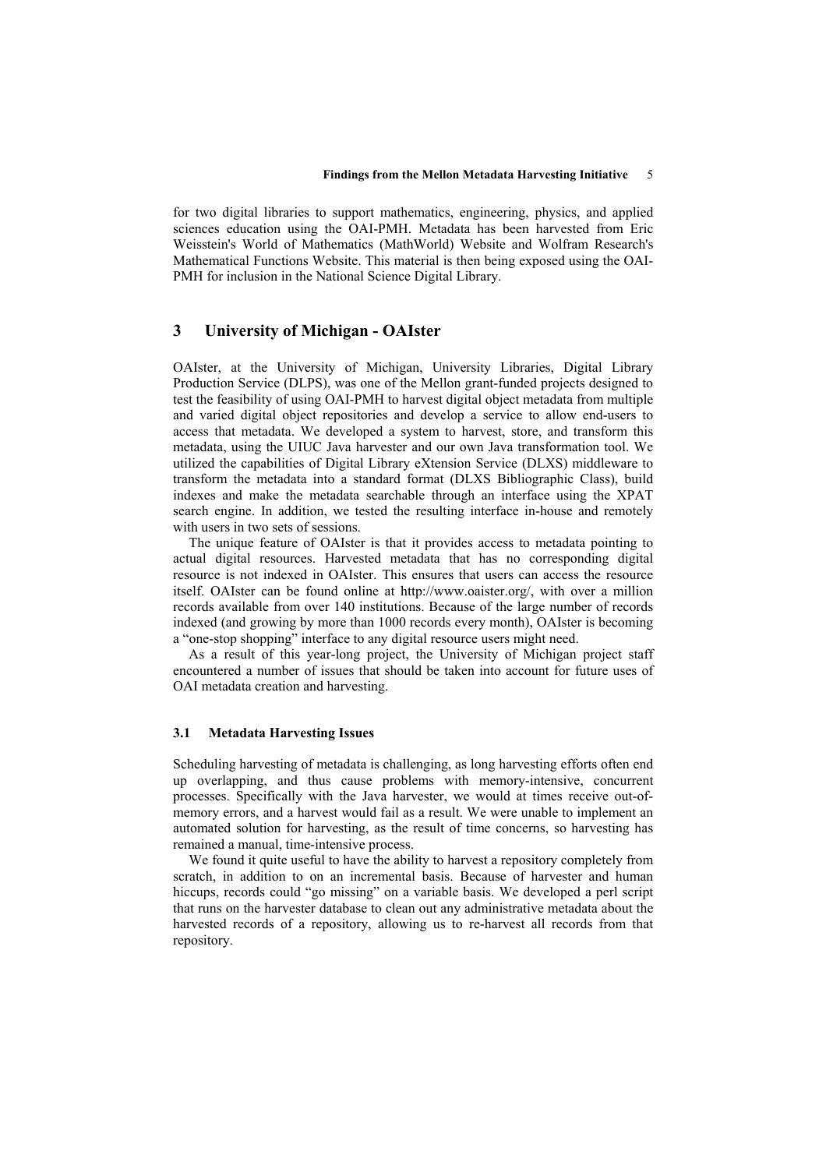for two digital libraries to support mathematics, engineering, physics, and applied sciences education using the OAI-PMH. Metadata has been harvested from Eric Weisstein's World of Mathematics (MathWorld) Website and Wolfram Research's Mathematical Functions Website. This material is then being exposed using the OAI-PMH for inclusion in the National Science Digital Library.

# **3 University of Michigan - OAIster**

OAIster, at the University of Michigan, University Libraries, Digital Library Production Service (DLPS), was one of the Mellon grant-funded projects designed to test the feasibility of using OAI-PMH to harvest digital object metadata from multiple and varied digital object repositories and develop a service to allow end-users to access that metadata. We developed a system to harvest, store, and transform this metadata, using the UIUC Java harvester and our own Java transformation tool. We utilized the capabilities of Digital Library eXtension Service (DLXS) middleware to transform the metadata into a standard format (DLXS Bibliographic Class), build indexes and make the metadata searchable through an interface using the XPAT search engine. In addition, we tested the resulting interface in-house and remotely with users in two sets of sessions.

The unique feature of OAIster is that it provides access to metadata pointing to actual digital resources. Harvested metadata that has no corresponding digital resource is not indexed in OAIster. This ensures that users can access the resource itself. OAIster can be found online at http://www.oaister.org/, with over a million records available from over 140 institutions. Because of the large number of records indexed (and growing by more than 1000 records every month), OAIster is becoming a "one-stop shopping" interface to any digital resource users might need.

As a result of this year-long project, the University of Michigan project staff encountered a number of issues that should be taken into account for future uses of OAI metadata creation and harvesting.

#### **3.1 Metadata Harvesting Issues**

Scheduling harvesting of metadata is challenging, as long harvesting efforts often end up overlapping, and thus cause problems with memory-intensive, concurrent processes. Specifically with the Java harvester, we would at times receive out-ofmemory errors, and a harvest would fail as a result. We were unable to implement an automated solution for harvesting, as the result of time concerns, so harvesting has remained a manual, time-intensive process.

We found it quite useful to have the ability to harvest a repository completely from scratch, in addition to on an incremental basis. Because of harvester and human hiccups, records could "go missing" on a variable basis. We developed a perl script that runs on the harvester database to clean out any administrative metadata about the harvested records of a repository, allowing us to re-harvest all records from that repository.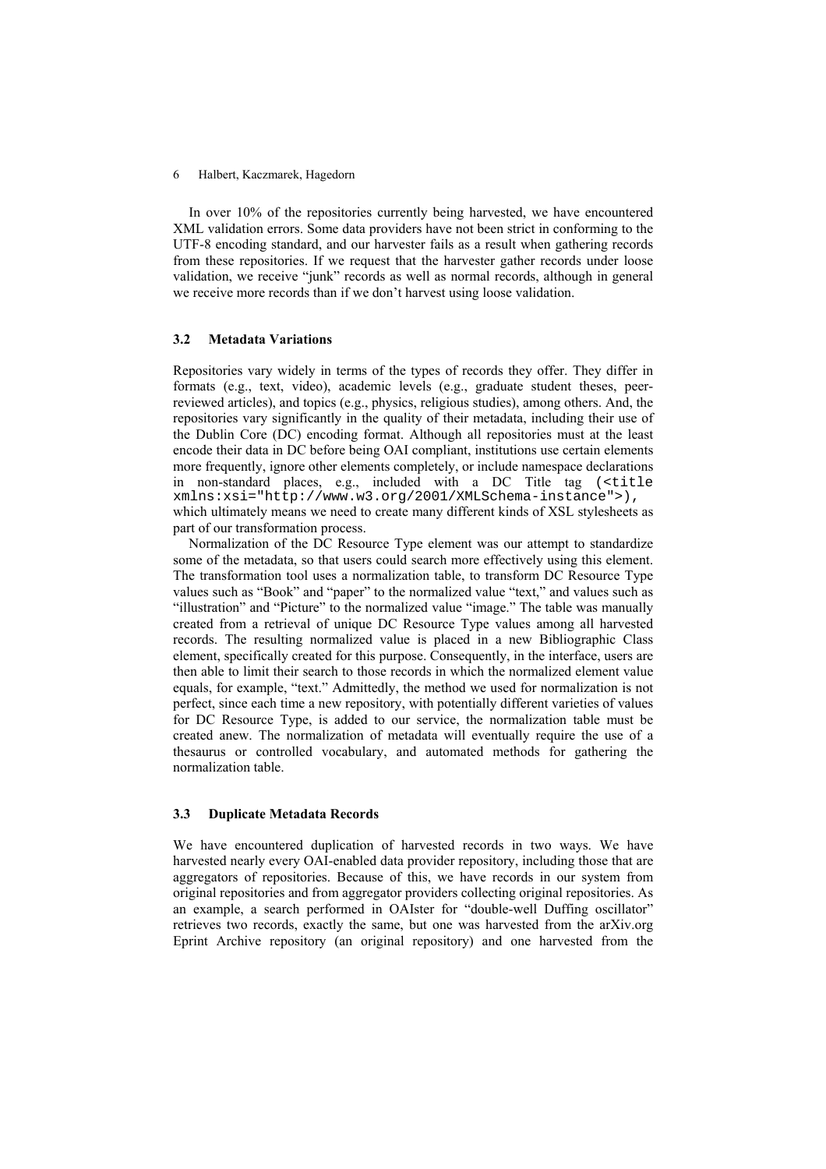In over 10% of the repositories currently being harvested, we have encountered XML validation errors. Some data providers have not been strict in conforming to the UTF-8 encoding standard, and our harvester fails as a result when gathering records from these repositories. If we request that the harvester gather records under loose validation, we receive "junk" records as well as normal records, although in general we receive more records than if we don't harvest using loose validation.

#### **3.2 Metadata Variations**

Repositories vary widely in terms of the types of records they offer. They differ in formats (e.g., text, video), academic levels (e.g., graduate student theses, peerreviewed articles), and topics (e.g., physics, religious studies), among others. And, the repositories vary significantly in the quality of their metadata, including their use of the Dublin Core (DC) encoding format. Although all repositories must at the least encode their data in DC before being OAI compliant, institutions use certain elements more frequently, ignore other elements completely, or include namespace declarations in non-standard places, e.g., included with a DC Title tag (<title xmlns:xsi="http://www.w3.org/2001/XMLSchema-instance">), which ultimately means we need to create many different kinds of XSL stylesheets as part of our transformation process.

Normalization of the DC Resource Type element was our attempt to standardize some of the metadata, so that users could search more effectively using this element. The transformation tool uses a normalization table, to transform DC Resource Type values such as "Book" and "paper" to the normalized value "text," and values such as "illustration" and "Picture" to the normalized value "image." The table was manually created from a retrieval of unique DC Resource Type values among all harvested records. The resulting normalized value is placed in a new Bibliographic Class element, specifically created for this purpose. Consequently, in the interface, users are then able to limit their search to those records in which the normalized element value equals, for example, "text." Admittedly, the method we used for normalization is not perfect, since each time a new repository, with potentially different varieties of values for DC Resource Type, is added to our service, the normalization table must be created anew. The normalization of metadata will eventually require the use of a thesaurus or controlled vocabulary, and automated methods for gathering the normalization table.

#### **3.3 Duplicate Metadata Records**

We have encountered duplication of harvested records in two ways. We have harvested nearly every OAI-enabled data provider repository, including those that are aggregators of repositories. Because of this, we have records in our system from original repositories and from aggregator providers collecting original repositories. As an example, a search performed in OAIster for "double-well Duffing oscillator" retrieves two records, exactly the same, but one was harvested from the arXiv.org Eprint Archive repository (an original repository) and one harvested from the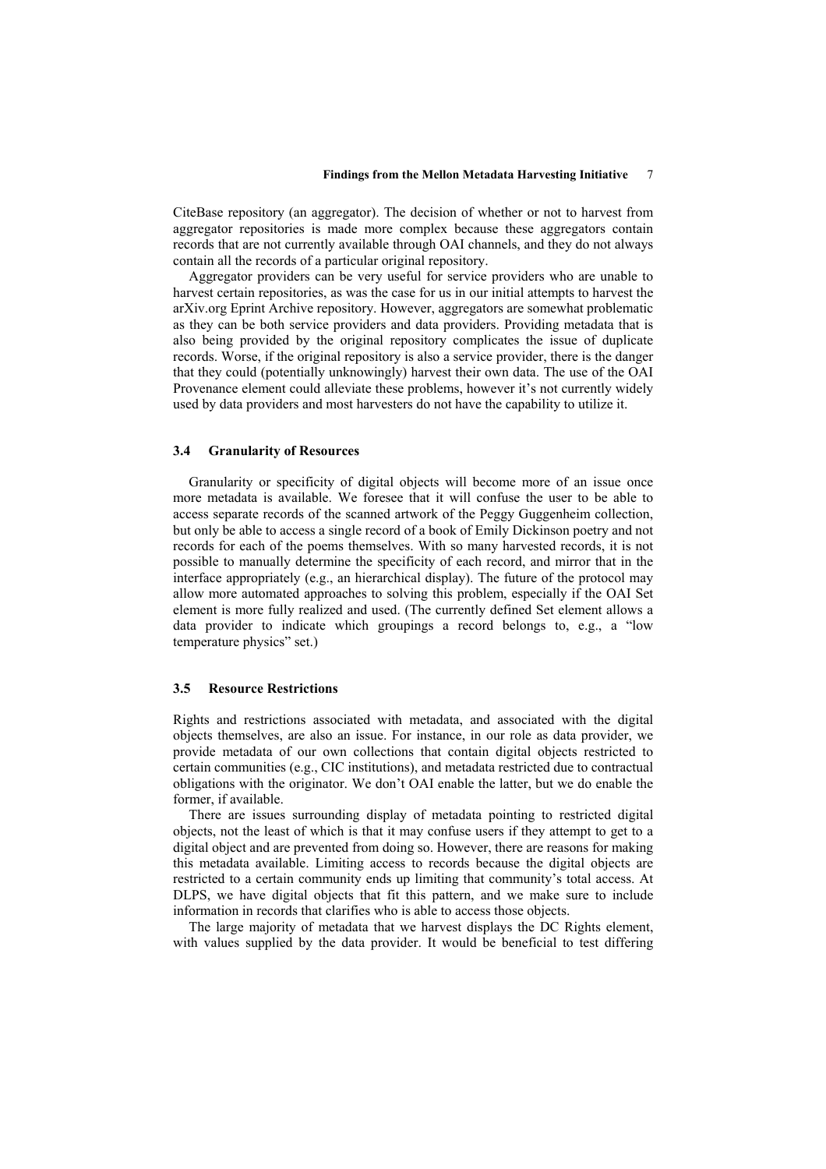CiteBase repository (an aggregator). The decision of whether or not to harvest from aggregator repositories is made more complex because these aggregators contain records that are not currently available through OAI channels, and they do not always contain all the records of a particular original repository.

Aggregator providers can be very useful for service providers who are unable to harvest certain repositories, as was the case for us in our initial attempts to harvest the arXiv.org Eprint Archive repository. However, aggregators are somewhat problematic as they can be both service providers and data providers. Providing metadata that is also being provided by the original repository complicates the issue of duplicate records. Worse, if the original repository is also a service provider, there is the danger that they could (potentially unknowingly) harvest their own data. The use of the OAI Provenance element could alleviate these problems, however it's not currently widely used by data providers and most harvesters do not have the capability to utilize it.

#### **3.4 Granularity of Resources**

Granularity or specificity of digital objects will become more of an issue once more metadata is available. We foresee that it will confuse the user to be able to access separate records of the scanned artwork of the Peggy Guggenheim collection, but only be able to access a single record of a book of Emily Dickinson poetry and not records for each of the poems themselves. With so many harvested records, it is not possible to manually determine the specificity of each record, and mirror that in the interface appropriately (e.g., an hierarchical display). The future of the protocol may allow more automated approaches to solving this problem, especially if the OAI Set element is more fully realized and used. (The currently defined Set element allows a data provider to indicate which groupings a record belongs to, e.g., a "low temperature physics" set.)

#### **3.5 Resource Restrictions**

Rights and restrictions associated with metadata, and associated with the digital objects themselves, are also an issue. For instance, in our role as data provider, we provide metadata of our own collections that contain digital objects restricted to certain communities (e.g., CIC institutions), and metadata restricted due to contractual obligations with the originator. We don't OAI enable the latter, but we do enable the former, if available.

There are issues surrounding display of metadata pointing to restricted digital objects, not the least of which is that it may confuse users if they attempt to get to a digital object and are prevented from doing so. However, there are reasons for making this metadata available. Limiting access to records because the digital objects are restricted to a certain community ends up limiting that community's total access. At DLPS, we have digital objects that fit this pattern, and we make sure to include information in records that clarifies who is able to access those objects.

The large majority of metadata that we harvest displays the DC Rights element, with values supplied by the data provider. It would be beneficial to test differing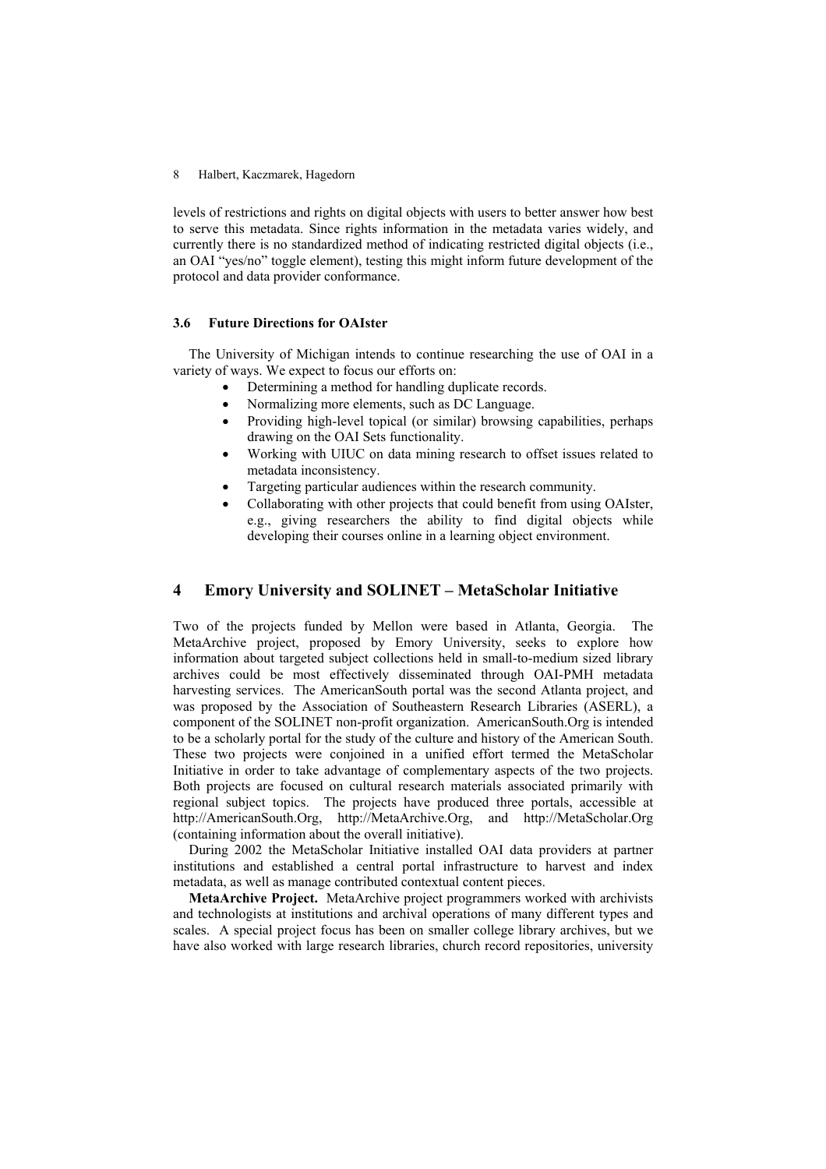levels of restrictions and rights on digital objects with users to better answer how best to serve this metadata. Since rights information in the metadata varies widely, and currently there is no standardized method of indicating restricted digital objects (i.e., an OAI "yes/no" toggle element), testing this might inform future development of the protocol and data provider conformance.

#### **3.6 Future Directions for OAIster**

The University of Michigan intends to continue researching the use of OAI in a variety of ways. We expect to focus our efforts on:

- Determining a method for handling duplicate records.
- Normalizing more elements, such as DC Language.
- Providing high-level topical (or similar) browsing capabilities, perhaps drawing on the OAI Sets functionality.
- Working with UIUC on data mining research to offset issues related to metadata inconsistency.
- Targeting particular audiences within the research community.
- Collaborating with other projects that could benefit from using OAIster, e.g., giving researchers the ability to find digital objects while developing their courses online in a learning object environment.

# **4 Emory University and SOLINET – MetaScholar Initiative**

Two of the projects funded by Mellon were based in Atlanta, Georgia. The MetaArchive project, proposed by Emory University, seeks to explore how information about targeted subject collections held in small-to-medium sized library archives could be most effectively disseminated through OAI-PMH metadata harvesting services. The AmericanSouth portal was the second Atlanta project, and was proposed by the Association of Southeastern Research Libraries (ASERL), a component of the SOLINET non-profit organization. AmericanSouth.Org is intended to be a scholarly portal for the study of the culture and history of the American South. These two projects were conjoined in a unified effort termed the MetaScholar Initiative in order to take advantage of complementary aspects of the two projects. Both projects are focused on cultural research materials associated primarily with regional subject topics. The projects have produced three portals, accessible at http://AmericanSouth.Org, http://MetaArchive.Org, and http://MetaScholar.Org (containing information about the overall initiative).

During 2002 the MetaScholar Initiative installed OAI data providers at partner institutions and established a central portal infrastructure to harvest and index metadata, as well as manage contributed contextual content pieces.

**MetaArchive Project.** MetaArchive project programmers worked with archivists and technologists at institutions and archival operations of many different types and scales. A special project focus has been on smaller college library archives, but we have also worked with large research libraries, church record repositories, university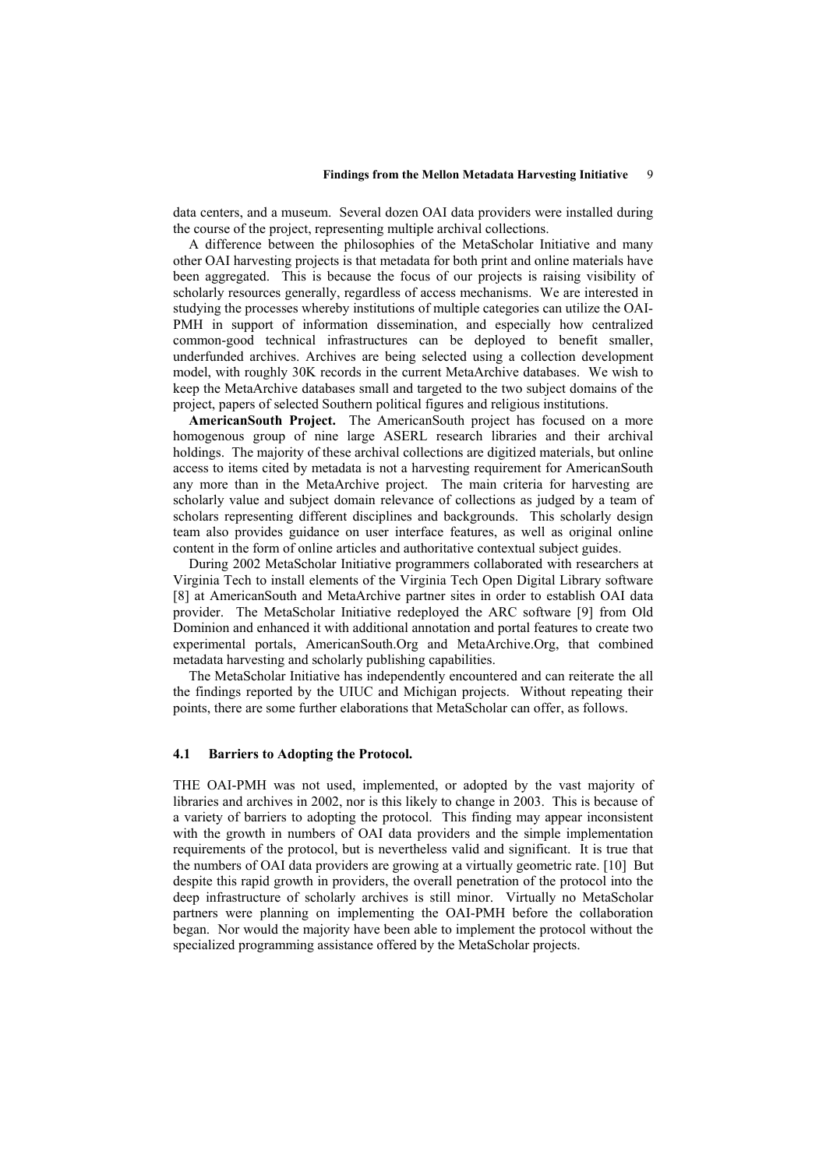data centers, and a museum. Several dozen OAI data providers were installed during the course of the project, representing multiple archival collections.

A difference between the philosophies of the MetaScholar Initiative and many other OAI harvesting projects is that metadata for both print and online materials have been aggregated. This is because the focus of our projects is raising visibility of scholarly resources generally, regardless of access mechanisms. We are interested in studying the processes whereby institutions of multiple categories can utilize the OAI-PMH in support of information dissemination, and especially how centralized common-good technical infrastructures can be deployed to benefit smaller, underfunded archives. Archives are being selected using a collection development model, with roughly 30K records in the current MetaArchive databases. We wish to keep the MetaArchive databases small and targeted to the two subject domains of the project, papers of selected Southern political figures and religious institutions.

**AmericanSouth Project.** The AmericanSouth project has focused on a more homogenous group of nine large ASERL research libraries and their archival holdings. The majority of these archival collections are digitized materials, but online access to items cited by metadata is not a harvesting requirement for AmericanSouth any more than in the MetaArchive project. The main criteria for harvesting are scholarly value and subject domain relevance of collections as judged by a team of scholars representing different disciplines and backgrounds. This scholarly design team also provides guidance on user interface features, as well as original online content in the form of online articles and authoritative contextual subject guides.

During 2002 MetaScholar Initiative programmers collaborated with researchers at Virginia Tech to install elements of the Virginia Tech Open Digital Library software [8] at AmericanSouth and MetaArchive partner sites in order to establish OAI data provider. The MetaScholar Initiative redeployed the ARC software [9] from Old Dominion and enhanced it with additional annotation and portal features to create two experimental portals, AmericanSouth.Org and MetaArchive.Org, that combined metadata harvesting and scholarly publishing capabilities.

The MetaScholar Initiative has independently encountered and can reiterate the all the findings reported by the UIUC and Michigan projects. Without repeating their points, there are some further elaborations that MetaScholar can offer, as follows.

# **4.1 Barriers to Adopting the Protocol.**

THE OAI-PMH was not used, implemented, or adopted by the vast majority of libraries and archives in 2002, nor is this likely to change in 2003. This is because of a variety of barriers to adopting the protocol. This finding may appear inconsistent with the growth in numbers of OAI data providers and the simple implementation requirements of the protocol, but is nevertheless valid and significant. It is true that the numbers of OAI data providers are growing at a virtually geometric rate. [10] But despite this rapid growth in providers, the overall penetration of the protocol into the deep infrastructure of scholarly archives is still minor. Virtually no MetaScholar partners were planning on implementing the OAI-PMH before the collaboration began. Nor would the majority have been able to implement the protocol without the specialized programming assistance offered by the MetaScholar projects.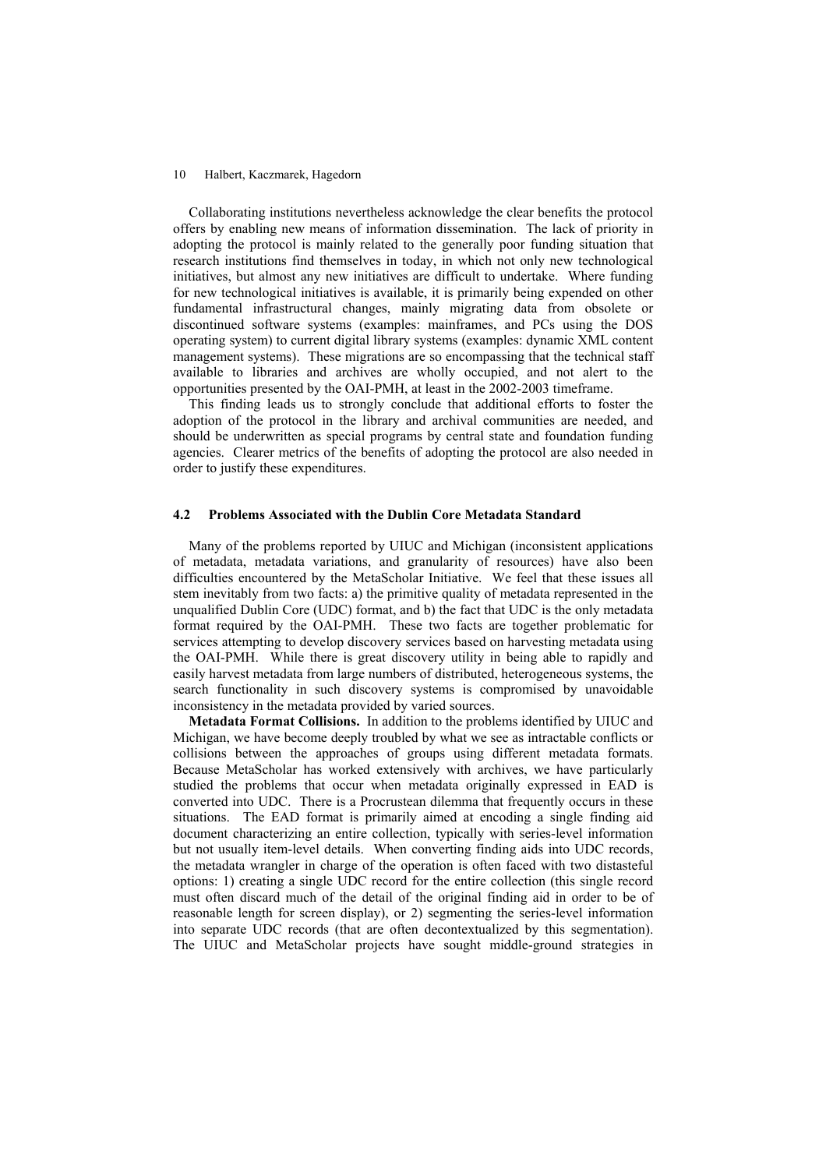Collaborating institutions nevertheless acknowledge the clear benefits the protocol offers by enabling new means of information dissemination. The lack of priority in adopting the protocol is mainly related to the generally poor funding situation that research institutions find themselves in today, in which not only new technological initiatives, but almost any new initiatives are difficult to undertake. Where funding for new technological initiatives is available, it is primarily being expended on other fundamental infrastructural changes, mainly migrating data from obsolete or discontinued software systems (examples: mainframes, and PCs using the DOS operating system) to current digital library systems (examples: dynamic XML content management systems). These migrations are so encompassing that the technical staff available to libraries and archives are wholly occupied, and not alert to the opportunities presented by the OAI-PMH, at least in the 2002-2003 timeframe.

This finding leads us to strongly conclude that additional efforts to foster the adoption of the protocol in the library and archival communities are needed, and should be underwritten as special programs by central state and foundation funding agencies. Clearer metrics of the benefits of adopting the protocol are also needed in order to justify these expenditures.

#### **4.2 Problems Associated with the Dublin Core Metadata Standard**

Many of the problems reported by UIUC and Michigan (inconsistent applications of metadata, metadata variations, and granularity of resources) have also been difficulties encountered by the MetaScholar Initiative. We feel that these issues all stem inevitably from two facts: a) the primitive quality of metadata represented in the unqualified Dublin Core (UDC) format, and b) the fact that UDC is the only metadata format required by the OAI-PMH. These two facts are together problematic for services attempting to develop discovery services based on harvesting metadata using the OAI-PMH. While there is great discovery utility in being able to rapidly and easily harvest metadata from large numbers of distributed, heterogeneous systems, the search functionality in such discovery systems is compromised by unavoidable inconsistency in the metadata provided by varied sources.

**Metadata Format Collisions.** In addition to the problems identified by UIUC and Michigan, we have become deeply troubled by what we see as intractable conflicts or collisions between the approaches of groups using different metadata formats. Because MetaScholar has worked extensively with archives, we have particularly studied the problems that occur when metadata originally expressed in EAD is converted into UDC. There is a Procrustean dilemma that frequently occurs in these situations. The EAD format is primarily aimed at encoding a single finding aid document characterizing an entire collection, typically with series-level information but not usually item-level details. When converting finding aids into UDC records, the metadata wrangler in charge of the operation is often faced with two distasteful options: 1) creating a single UDC record for the entire collection (this single record must often discard much of the detail of the original finding aid in order to be of reasonable length for screen display), or 2) segmenting the series-level information into separate UDC records (that are often decontextualized by this segmentation). The UIUC and MetaScholar projects have sought middle-ground strategies in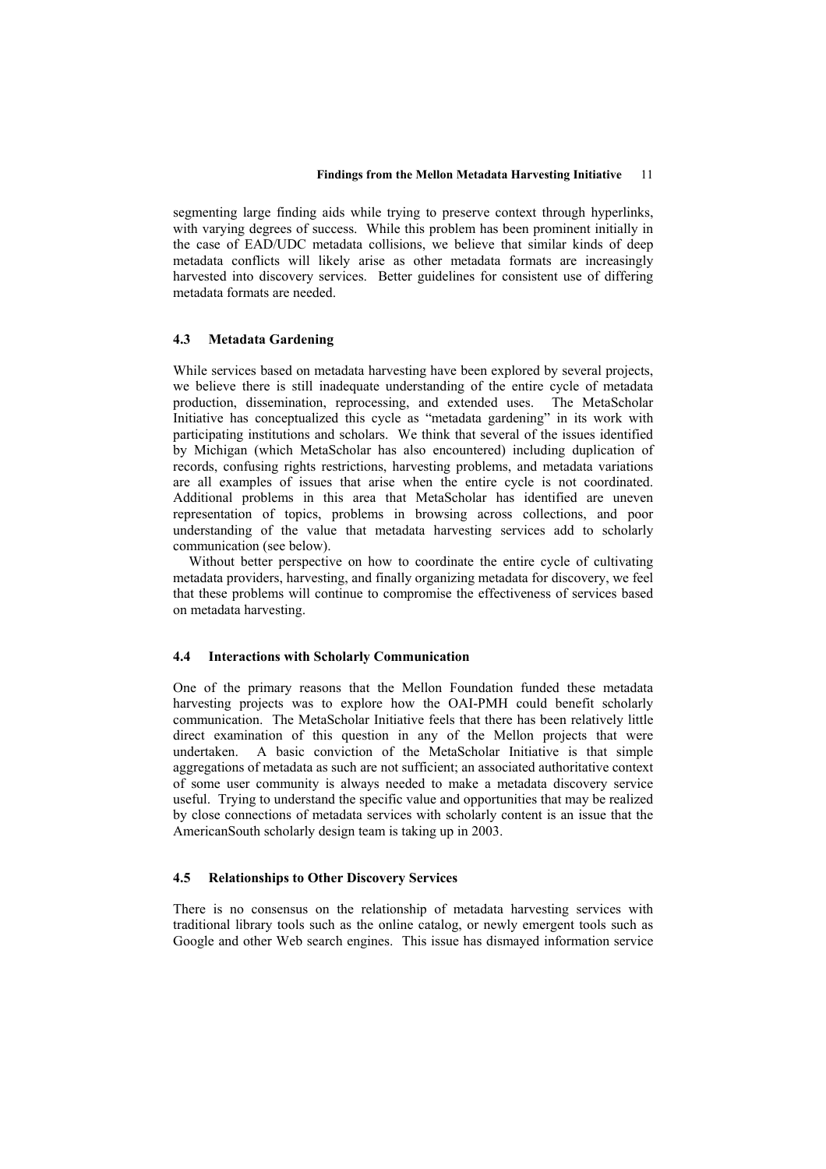segmenting large finding aids while trying to preserve context through hyperlinks, with varying degrees of success. While this problem has been prominent initially in the case of EAD/UDC metadata collisions, we believe that similar kinds of deep metadata conflicts will likely arise as other metadata formats are increasingly harvested into discovery services. Better guidelines for consistent use of differing metadata formats are needed.

#### **4.3 Metadata Gardening**

While services based on metadata harvesting have been explored by several projects, we believe there is still inadequate understanding of the entire cycle of metadata production, dissemination, reprocessing, and extended uses. The MetaScholar Initiative has conceptualized this cycle as "metadata gardening" in its work with participating institutions and scholars. We think that several of the issues identified by Michigan (which MetaScholar has also encountered) including duplication of records, confusing rights restrictions, harvesting problems, and metadata variations are all examples of issues that arise when the entire cycle is not coordinated. Additional problems in this area that MetaScholar has identified are uneven representation of topics, problems in browsing across collections, and poor understanding of the value that metadata harvesting services add to scholarly communication (see below).

Without better perspective on how to coordinate the entire cycle of cultivating metadata providers, harvesting, and finally organizing metadata for discovery, we feel that these problems will continue to compromise the effectiveness of services based on metadata harvesting.

#### **4.4 Interactions with Scholarly Communication**

One of the primary reasons that the Mellon Foundation funded these metadata harvesting projects was to explore how the OAI-PMH could benefit scholarly communication. The MetaScholar Initiative feels that there has been relatively little direct examination of this question in any of the Mellon projects that were undertaken. A basic conviction of the MetaScholar Initiative is that simple aggregations of metadata as such are not sufficient; an associated authoritative context of some user community is always needed to make a metadata discovery service useful. Trying to understand the specific value and opportunities that may be realized by close connections of metadata services with scholarly content is an issue that the AmericanSouth scholarly design team is taking up in 2003.

# **4.5 Relationships to Other Discovery Services**

There is no consensus on the relationship of metadata harvesting services with traditional library tools such as the online catalog, or newly emergent tools such as Google and other Web search engines. This issue has dismayed information service